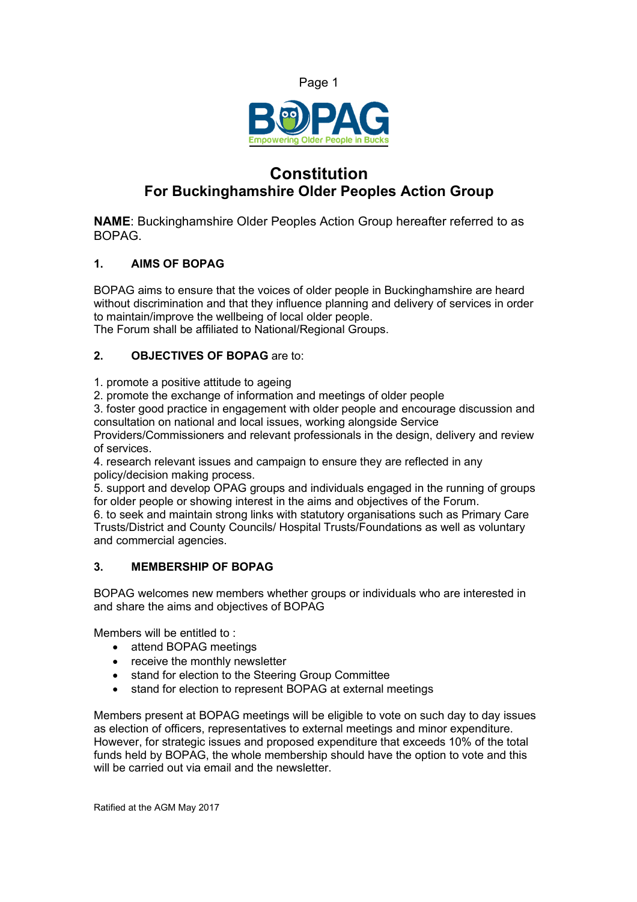



# **Constitution For Buckinghamshire Older Peoples Action Group**

**NAME**: Buckinghamshire Older Peoples Action Group hereafter referred to as BOPAG.

# **1. AIMS OF BOPAG**

BOPAG aims to ensure that the voices of older people in Buckinghamshire are heard without discrimination and that they influence planning and delivery of services in order to maintain/improve the wellbeing of local older people.

The Forum shall be affiliated to National/Regional Groups.

## **2. OBJECTIVES OF BOPAG** are to:

1. promote a positive attitude to ageing

2. promote the exchange of information and meetings of older people

3. foster good practice in engagement with older people and encourage discussion and consultation on national and local issues, working alongside Service

Providers/Commissioners and relevant professionals in the design, delivery and review of services.

4. research relevant issues and campaign to ensure they are reflected in any policy/decision making process.

5. support and develop OPAG groups and individuals engaged in the running of groups for older people or showing interest in the aims and objectives of the Forum.

6. to seek and maintain strong links with statutory organisations such as Primary Care Trusts/District and County Councils/ Hospital Trusts/Foundations as well as voluntary and commercial agencies.

## **3. MEMBERSHIP OF BOPAG**

BOPAG welcomes new members whether groups or individuals who are interested in and share the aims and objectives of BOPAG

Members will be entitled to :

- attend BOPAG meetings
- receive the monthly newsletter
- stand for election to the Steering Group Committee
- stand for election to represent BOPAG at external meetings

Members present at BOPAG meetings will be eligible to vote on such day to day issues as election of officers, representatives to external meetings and minor expenditure. However, for strategic issues and proposed expenditure that exceeds 10% of the total funds held by BOPAG, the whole membership should have the option to vote and this will be carried out via email and the newsletter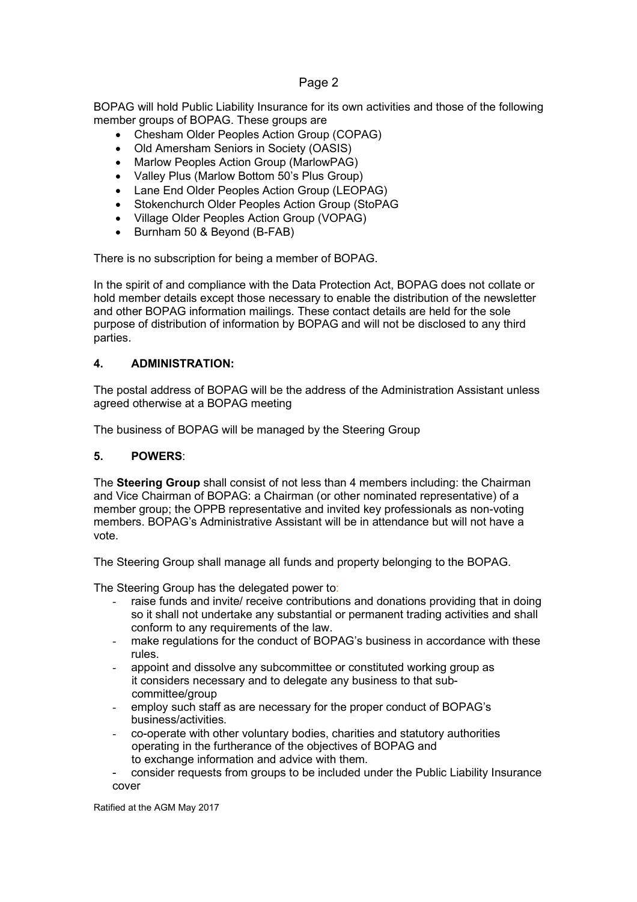# Page 2

BOPAG will hold Public Liability Insurance for its own activities and those of the following member groups of BOPAG. These groups are

- Chesham Older Peoples Action Group (COPAG)
- Old Amersham Seniors in Society (OASIS)
- Marlow Peoples Action Group (MarlowPAG)
- Valley Plus (Marlow Bottom 50's Plus Group)
- Lane End Older Peoples Action Group (LEOPAG)
- Stokenchurch Older Peoples Action Group (StoPAG
- Village Older Peoples Action Group (VOPAG)
- Burnham 50 & Beyond (B-FAB)

There is no subscription for being a member of BOPAG.

In the spirit of and compliance with the Data Protection Act, BOPAG does not collate or hold member details except those necessary to enable the distribution of the newsletter and other BOPAG information mailings. These contact details are held for the sole purpose of distribution of information by BOPAG and will not be disclosed to any third parties.

## **4. ADMINISTRATION:**

The postal address of BOPAG will be the address of the Administration Assistant unless agreed otherwise at a BOPAG meeting

The business of BOPAG will be managed by the Steering Group

## **5. POWERS**:

The **Steering Group** shall consist of not less than 4 members including: the Chairman and Vice Chairman of BOPAG: a Chairman (or other nominated representative) of a member group; the OPPB representative and invited key professionals as non-voting members. BOPAG's Administrative Assistant will be in attendance but will not have a vote.

The Steering Group shall manage all funds and property belonging to the BOPAG.

The Steering Group has the delegated power to:

- raise funds and invite/ receive contributions and donations providing that in doing so it shall not undertake any substantial or permanent trading activities and shall conform to any requirements of the law.
- make regulations for the conduct of BOPAG's business in accordance with these rules.
- appoint and dissolve any subcommittee or constituted working group as it considers necessary and to delegate any business to that sub committee/group
- employ such staff as are necessary for the proper conduct of BOPAG's business/activities.
- co-operate with other voluntary bodies, charities and statutory authorities operating in the furtherance of the objectives of BOPAG and to exchange information and advice with them.
- consider requests from groups to be included under the Public Liability Insurance cover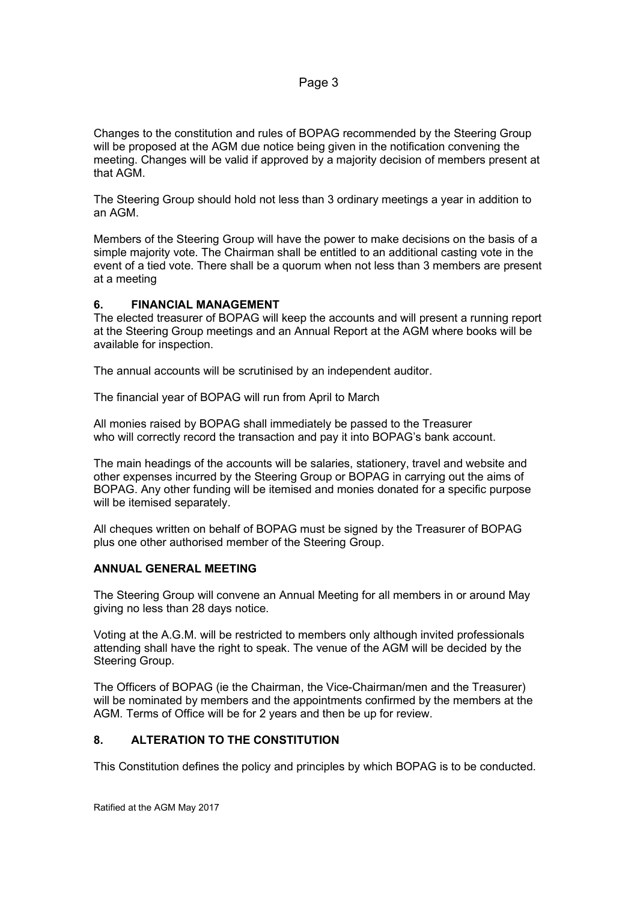Changes to the constitution and rules of BOPAG recommended by the Steering Group will be proposed at the AGM due notice being given in the notification convening the meeting. Changes will be valid if approved by a majority decision of members present at that AGM.

The Steering Group should hold not less than 3 ordinary meetings a year in addition to an AGM.

Members of the Steering Group will have the power to make decisions on the basis of a simple majority vote. The Chairman shall be entitled to an additional casting vote in the event of a tied vote. There shall be a quorum when not less than 3 members are present at a meeting

#### **6. FINANCIAL MANAGEMENT**

The elected treasurer of BOPAG will keep the accounts and will present a running report at the Steering Group meetings and an Annual Report at the AGM where books will be available for inspection.

The annual accounts will be scrutinised by an independent auditor.

The financial year of BOPAG will run from April to March

All monies raised by BOPAG shall immediately be passed to the Treasurer who will correctly record the transaction and pay it into BOPAG's bank account.

The main headings of the accounts will be salaries, stationery, travel and website and other expenses incurred by the Steering Group or BOPAG in carrying out the aims of BOPAG. Any other funding will be itemised and monies donated for a specific purpose will be itemised separately.

All cheques written on behalf of BOPAG must be signed by the Treasurer of BOPAG plus one other authorised member of the Steering Group.

#### **ANNUAL GENERAL MEETING**

The Steering Group will convene an Annual Meeting for all members in or around May giving no less than 28 days notice.

Voting at the A.G.M. will be restricted to members only although invited professionals attending shall have the right to speak. The venue of the AGM will be decided by the Steering Group.

The Officers of BOPAG (ie the Chairman, the Vice-Chairman/men and the Treasurer) will be nominated by members and the appointments confirmed by the members at the AGM. Terms of Office will be for 2 years and then be up for review.

#### **8. ALTERATION TO THE CONSTITUTION**

This Constitution defines the policy and principles by which BOPAG is to be conducted.